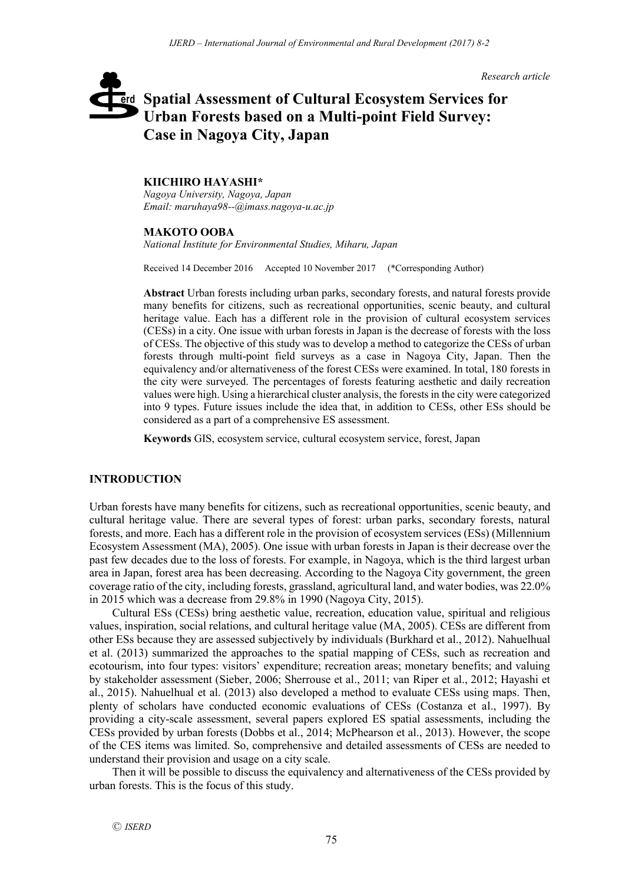*Research article*

# **Spatial Assessment of Cultural Ecosystem Services for**  erd **Urban Forests based on a Multi-point Field Survey: Case in Nagoya City, Japan**

# **KIICHIRO HAYASHI\***

*Nagoya University, Nagoya, Japan Email: maruhaya98--@imass.nagoya-u.ac.jp*

## **MAKOTO OOBA**

*National Institute for Environmental Studies, Miharu, Japan*

Received 14 December 2016 Accepted 10 November 2017 (\*Corresponding Author)

**Abstract** Urban forests including urban parks, secondary forests, and natural forests provide many benefits for citizens, such as recreational opportunities, scenic beauty, and cultural heritage value. Each has a different role in the provision of cultural ecosystem services (CESs) in a city. One issue with urban forests in Japan is the decrease of forests with the loss of CESs. The objective of this study was to develop a method to categorize the CESs of urban forests through multi-point field surveys as a case in Nagoya City, Japan. Then the equivalency and/or alternativeness of the forest CESs were examined. In total, 180 forests in the city were surveyed. The percentages of forests featuring aesthetic and daily recreation values were high. Using a hierarchical cluster analysis, the forests in the city were categorized into 9 types. Future issues include the idea that, in addition to CESs, other ESs should be considered as a part of a comprehensive ES assessment.

**Keywords** GIS, ecosystem service, cultural ecosystem service, forest, Japan

# **INTRODUCTION**

Urban forests have many benefits for citizens, such as recreational opportunities, scenic beauty, and cultural heritage value. There are several types of forest: urban parks, secondary forests, natural forests, and more. Each has a different role in the provision of ecosystem services (ESs) (Millennium Ecosystem Assessment (MA), 2005). One issue with urban forests in Japan is their decrease over the past few decades due to the loss of forests. For example, in Nagoya, which is the third largest urban area in Japan, forest area has been decreasing. According to the Nagoya City government, the green coverage ratio of the city, including forests, grassland, agricultural land, and water bodies, was 22.0% in 2015 which was a decrease from 29.8% in 1990 (Nagoya City, 2015).

Cultural ESs (CESs) bring aesthetic value, recreation, education value, spiritual and religious values, inspiration, social relations, and cultural heritage value (MA, 2005). CESs are different from other ESs because they are assessed subjectively by individuals (Burkhard et al., 2012). Nahuelhual et al. (2013) summarized the approaches to the spatial mapping of CESs, such as recreation and ecotourism, into four types: visitors' expenditure; recreation areas; monetary benefits; and valuing by stakeholder assessment (Sieber, 2006; Sherrouse et al., 2011; van Riper et al., 2012; Hayashi et al., 2015). Nahuelhual et al. (2013) also developed a method to evaluate CESs using maps. Then, plenty of scholars have conducted economic evaluations of CESs (Costanza et al., 1997). By providing a city-scale assessment, several papers explored ES spatial assessments, including the CESs provided by urban forests (Dobbs et al., 2014; McPhearson et al., 2013). However, the scope of the CES items was limited. So, comprehensive and detailed assessments of CESs are needed to understand their provision and usage on a city scale.

Then it will be possible to discuss the equivalency and alternativeness of the CESs provided by urban forests. This is the focus of this study.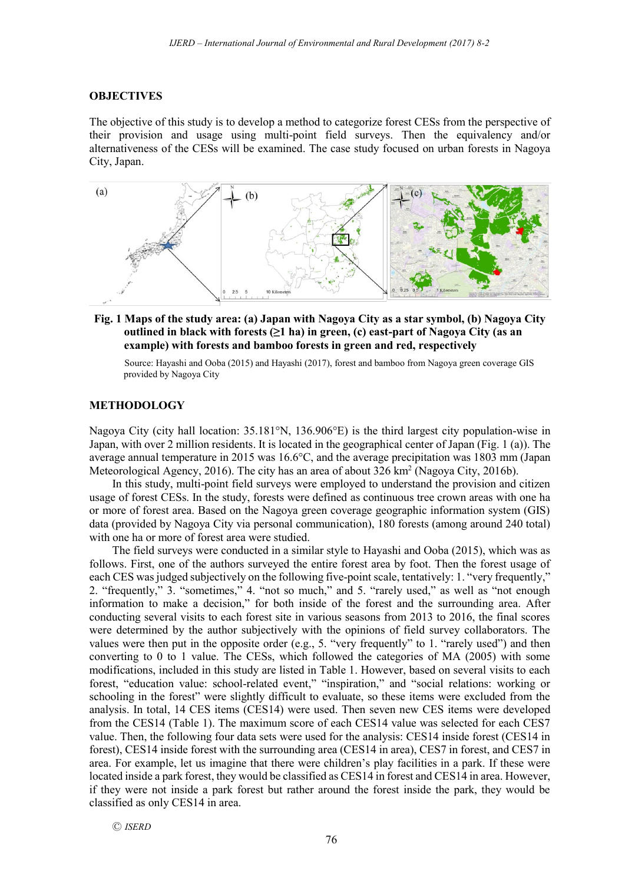## **OBJECTIVES**

The objective of this study is to develop a method to categorize forest CESs from the perspective of their provision and usage using multi-point field surveys. Then the equivalency and/or alternativeness of the CESs will be examined. The case study focused on urban forests in Nagoya City, Japan.



**Fig. 1 Maps of the study area: (a) Japan with Nagoya City as a star symbol, (b) Nagoya City outlined in black with forests (≥1 ha) in green, (c) east-part of Nagoya City (as an example) with forests and bamboo forests in green and red, respectively**

Source: Hayashi and Ooba (2015) and Hayashi (2017), forest and bamboo from Nagoya green coverage GIS provided by Nagoya City

## **METHODOLOGY**

Nagoya City (city hall location: 35.181°N, 136.906°E) is the third largest city population-wise in Japan, with over 2 million residents. It is located in the geographical center of Japan (Fig. 1 (a)). The average annual temperature in 2015 was 16.6°C, and the average precipitation was 1803 mm (Japan Meteorological Agency, 2016). The city has an area of about  $326 \text{ km}^2$  (Nagoya City, 2016b).

In this study, multi-point field surveys were employed to understand the provision and citizen usage of forest CESs. In the study, forests were defined as continuous tree crown areas with one ha or more of forest area. Based on the Nagoya green coverage geographic information system (GIS) data (provided by Nagoya City via personal communication), 180 forests (among around 240 total) with one ha or more of forest area were studied.

The field surveys were conducted in a similar style to Hayashi and Ooba (2015), which was as follows. First, one of the authors surveyed the entire forest area by foot. Then the forest usage of each CES was judged subjectively on the following five-point scale, tentatively: 1. "very frequently," 2. "frequently," 3. "sometimes," 4. "not so much," and 5. "rarely used," as well as "not enough information to make a decision," for both inside of the forest and the surrounding area. After conducting several visits to each forest site in various seasons from 2013 to 2016, the final scores were determined by the author subjectively with the opinions of field survey collaborators. The values were then put in the opposite order (e.g., 5. "very frequently" to 1. "rarely used") and then converting to 0 to 1 value. The CESs, which followed the categories of MA (2005) with some modifications, included in this study are listed in Table 1. However, based on several visits to each forest, "education value: school-related event," "inspiration," and "social relations: working or schooling in the forest" were slightly difficult to evaluate, so these items were excluded from the analysis. In total, 14 CES items (CES14) were used. Then seven new CES items were developed from the CES14 (Table 1). The maximum score of each CES14 value was selected for each CES7 value. Then, the following four data sets were used for the analysis: CES14 inside forest (CES14 in forest), CES14 inside forest with the surrounding area (CES14 in area), CES7 in forest, and CES7 in area. For example, let us imagine that there were children's play facilities in a park. If these were located inside a park forest, they would be classified as CES14 in forest and CES14 in area. However, if they were not inside a park forest but rather around the forest inside the park, they would be classified as only CES14 in area.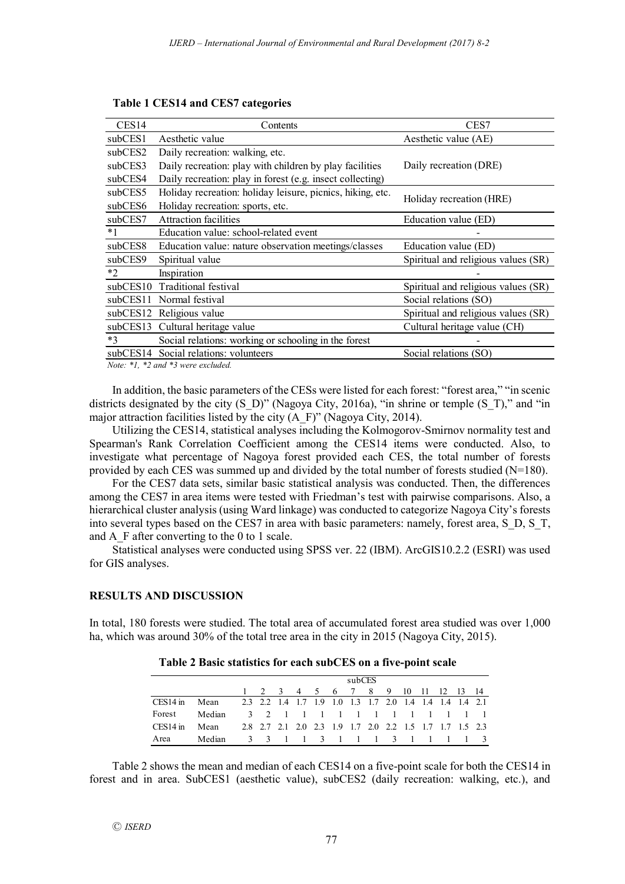| CES <sub>14</sub> | Contents                                                   | CES7                                |
|-------------------|------------------------------------------------------------|-------------------------------------|
| subCES1           | Aesthetic value                                            | Aesthetic value (AE)                |
| subCES2           | Daily recreation: walking, etc.                            |                                     |
| subCES3           | Daily recreation: play with children by play facilities    | Daily recreation (DRE)              |
| subCES4           | Daily recreation: play in forest (e.g. insect collecting)  |                                     |
| subCES5           | Holiday recreation: holiday leisure, picnics, hiking, etc. | Holiday recreation (HRE)            |
| subCES6           | Holiday recreation: sports, etc.                           |                                     |
| subCES7           | <b>Attraction facilities</b>                               | Education value (ED)                |
| $*1$              | Education value: school-related event                      |                                     |
| subCES8           | Education value: nature observation meetings/classes       | Education value (ED)                |
| subCES9           | Spiritual value                                            | Spiritual and religious values (SR) |
| $*2$              | Inspiration                                                |                                     |
| subCES10          | Traditional festival                                       | Spiritual and religious values (SR) |
| subCES11          | Normal festival                                            | Social relations (SO)               |
|                   | subCES12 Religious value                                   | Spiritual and religious values (SR) |
|                   | subCES13 Cultural heritage value                           | Cultural heritage value (CH)        |
| $*3$              | Social relations: working or schooling in the forest       |                                     |
|                   | subCES14 Social relations: volunteers                      | Social relations (SO)               |
|                   |                                                            |                                     |

**Table 1 CES14 and CES7 categories**

*Note: \*1, \*2 and \*3 were excluded.*

In addition, the basic parameters of the CESs were listed for each forest: "forest area," "in scenic districts designated by the city  $(S_D)$ " (Nagoya City, 2016a), "in shrine or temple  $(S_T)$ ," and "in major attraction facilities listed by the city (A\_F)" (Nagoya City, 2014).

Utilizing the CES14, statistical analyses including the Kolmogorov-Smirnov normality test and Spearman's Rank Correlation Coefficient among the CES14 items were conducted. Also, to investigate what percentage of Nagoya forest provided each CES, the total number of forests provided by each CES was summed up and divided by the total number of forests studied (N=180).

For the CES7 data sets, similar basic statistical analysis was conducted. Then, the differences among the CES7 in area items were tested with Friedman's test with pairwise comparisons. Also, a hierarchical cluster analysis (using Ward linkage) was conducted to categorize Nagoya City's forests into several types based on the CES7 in area with basic parameters: namely, forest area, S\_D, S\_T, and A F after converting to the 0 to 1 scale.

Statistical analyses were conducted using SPSS ver. 22 (IBM). ArcGIS10.2.2 (ESRI) was used for GIS analyses.

# **RESULTS AND DISCUSSION**

In total, 180 forests were studied. The total area of accumulated forest area studied was over 1,000 ha, which was around 30% of the total tree area in the city in 2015 (Nagoya City, 2015).

|            |        | subCES                                                  |  |  |  |  |  |  |  |  |                                                         |  |  |
|------------|--------|---------------------------------------------------------|--|--|--|--|--|--|--|--|---------------------------------------------------------|--|--|
|            |        |                                                         |  |  |  |  |  |  |  |  | 1 2 3 4 5 6 7 8 9 10 11 12 13 14                        |  |  |
| $CES14$ in | Mean   | 2.3 2.2 1.4 1.7 1.9 1.0 1.3 1.7 2.0 1.4 1.4 1.4 1.4 2.1 |  |  |  |  |  |  |  |  |                                                         |  |  |
| Forest     | Median |                                                         |  |  |  |  |  |  |  |  | 3 2 1 1 1 1 1 1 1 1 1 1 1 1                             |  |  |
| $CES14$ in | Mean   |                                                         |  |  |  |  |  |  |  |  | 2.8 2.7 2.1 2.0 2.3 1.9 1.7 2.0 2.2 1.5 1.7 1.7 1.5 2.3 |  |  |
| Area       | Median |                                                         |  |  |  |  |  |  |  |  | 3 3 1 1 3 1 1 1 3 1 1 1 1 3                             |  |  |

Table 2 shows the mean and median of each CES14 on a five-point scale for both the CES14 in forest and in area. SubCES1 (aesthetic value), subCES2 (daily recreation: walking, etc.), and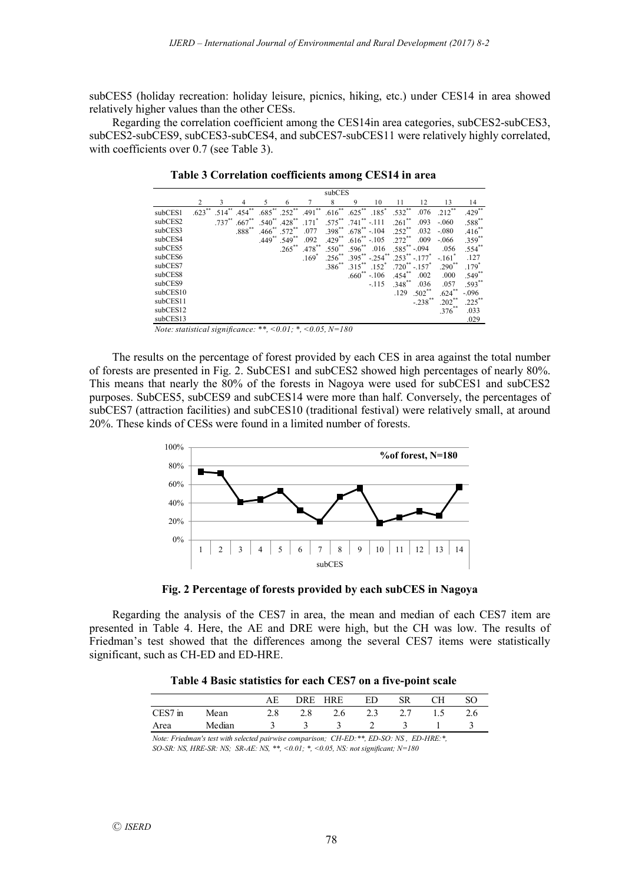subCES5 (holiday recreation: holiday leisure, picnics, hiking, etc.) under CES14 in area showed relatively higher values than the other CESs.

Regarding the correlation coefficient among the CES14in area categories, subCES2-subCES3, subCES2-subCES9, subCES3-subCES4, and subCES7-subCES11 were relatively highly correlated, with coefficients over 0.7 (see Table 3).

|          | subCES    |           |             |             |                     |            |             |                      |                     |                      |                      |                      |                      |
|----------|-----------|-----------|-------------|-------------|---------------------|------------|-------------|----------------------|---------------------|----------------------|----------------------|----------------------|----------------------|
|          |           |           | 4           |             | 6                   |            | 8           | 9                    | 10                  | 11                   | 12                   | 13                   | 14                   |
| subCES1  | $.623$ ** | $.514$ ** | .454        | $.685$ **   | $.252$ <sup>*</sup> | **<br>.491 | $.616***$   | $.625***$            | $.185$ <sup>*</sup> | $.532***$            | .076                 | $.212$ <sup>**</sup> | $.429$ **            |
| subCES2  |           | $.737***$ | $.667**$    | $.540^{**}$ | $.428$ **           | .171       | $.575***$   | $.741$ <sup>**</sup> | $-.111$             | $.261$ **            | .093                 | $-.060$              | .588**               |
| subCES3  |           |           | $.888^{**}$ | .466        | .572                | .077       | $.398^{**}$ | $.678^{**}$          | $-.104$             | .252                 | .032                 | $-.080$              | $.416$ **            |
| subCES4  |           |           |             | 举手<br>.449  | $.549$ **           | .092       | $.429$ **   | $.616**$             | $-.105$             | .272                 | .009                 | $-.066$              | $.359$ **            |
| subCES5  |           |           |             |             | $.265$ **           | $.478$ **  | $.550^{**}$ | $.596^{**}$          | .016                | $.585^{**} - .094$   |                      | .056                 | $.554$ **            |
| subCES6  |           |           |             |             |                     | .169       | $.256$ **   | $.395***$            | $-.254$ **          | $253***$             | $-.177$              | $-161$               | .127                 |
| subCES7  |           |           |             |             |                     |            | $.386^{**}$ | $.315***$            | .152                | $.720^{**}$          | $-.157$ <sup>*</sup> | $.290^{**}$          | $.179^{^{\circ}}$    |
| subCES8  |           |           |             |             |                     |            |             | .660                 | $-.106$             | $.454$ <sup>**</sup> | .002                 | .000                 | $.549$ <sup>**</sup> |
| subCES9  |           |           |             |             |                     |            |             |                      | $-.115$             | $.348^{**}$          | .036                 | .057                 | $.593***$            |
| subCES10 |           |           |             |             |                     |            |             |                      |                     | .129                 | $.502$ **            | $.624***$            | $-.096$              |
| subCES11 |           |           |             |             |                     |            |             |                      |                     |                      | $-.238$              | $.202$ **            | $.225***$            |
| subCES12 |           |           |             |             |                     |            |             |                      |                     |                      |                      | $.376^{**}$          | .033                 |
| subCES13 |           |           |             |             |                     |            |             |                      |                     |                      |                      |                      | .029                 |

**Table 3 Correlation coefficients among CES14 in area**

*Note: statistical significance: \*\*, <0.01; \*, <0.05, N=180*

The results on the percentage of forest provided by each CES in area against the total number of forests are presented in Fig. 2. SubCES1 and subCES2 showed high percentages of nearly 80%. This means that nearly the 80% of the forests in Nagoya were used for subCES1 and subCES2 purposes. SubCES5, subCES9 and subCES14 were more than half. Conversely, the percentages of subCES7 (attraction facilities) and subCES10 (traditional festival) were relatively small, at around 20%. These kinds of CESs were found in a limited number of forests.



**Fig. 2 Percentage of forests provided by each subCES in Nagoya**

Regarding the analysis of the CES7 in area, the mean and median of each CES7 item are presented in Table 4. Here, the AE and DRE were high, but the CH was low. The results of Friedman's test showed that the differences among the several CES7 items were statistically significant, such as CH-ED and ED-HRE.

| Table 4 Basic statistics for each CES7 on a five-point scale |  |  |  |
|--------------------------------------------------------------|--|--|--|
|--------------------------------------------------------------|--|--|--|

|         |        | ΑE            | DRE HRE       |               | ED              | <b>SR</b> | CН | <sub>SO</sub> |
|---------|--------|---------------|---------------|---------------|-----------------|-----------|----|---------------|
| CES7 in | Mean   | 2.8           | 2.8           | 2.6           | 2.3 2.7         |           |    | 2.6           |
| Area    | Median | $\mathcal{R}$ | $\mathcal{R}$ | $\mathcal{R}$ | $2 \frac{3}{4}$ |           |    |               |

*Note: Friedman's test with selected pairwise comparison; CH-ED:\*\*, ED-SO: NS , ED-HRE:\*, SO-SR: NS, HRE-SR: NS; SR-AE: NS, \*\*, <0.01; \*, <0.05, NS: not significant; N=180*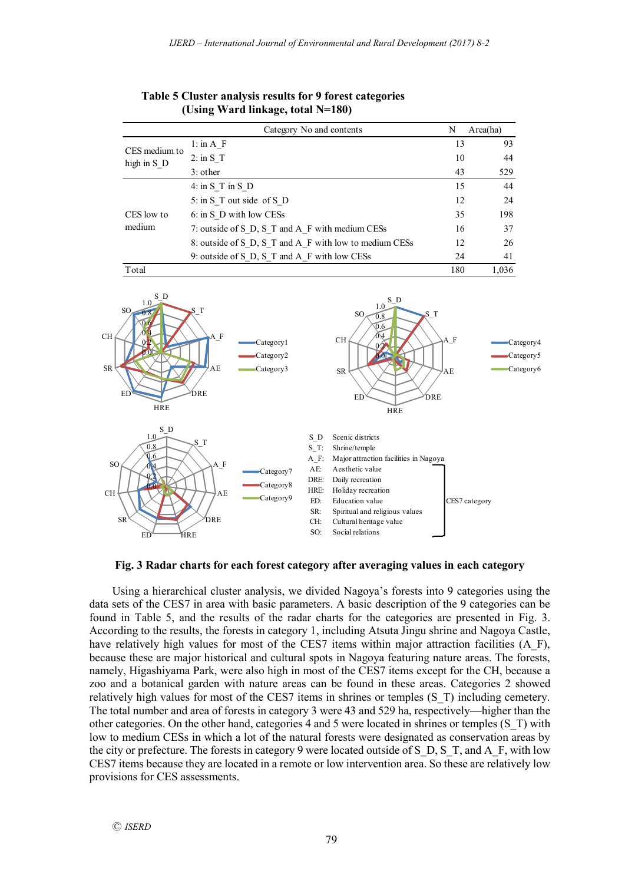|                              | Category No and contents                               | N   | Area(ha) |
|------------------------------|--------------------------------------------------------|-----|----------|
|                              | $1:$ in A F                                            | 13  | 93       |
| CES medium to<br>high in S D | $2:$ in S T                                            | 10  | 44       |
|                              | $3:$ other                                             | 43  | 529      |
|                              | $4:$ in S T in S D                                     | 15  | 44       |
|                              | 5: in S T out side of S D                              | 12  | 24       |
| CES low to                   | 6: in S D with low CESs                                | 35  | 198      |
| medium                       | 7: outside of S D, S T and A F with medium CESs        | 16  | 37       |
|                              | 8: outside of S D, S T and A F with low to medium CESs | 12  | 26       |
|                              | 9: outside of S D, S T and A F with low CESs           | 24  | 41       |
| Total                        |                                                        | 180 | 1.036    |

**Table 5 Cluster analysis results for 9 forest categories (Using Ward linkage, total N=180)**



**Fig. 3 Radar charts for each forest category after averaging values in each category**

Using a hierarchical cluster analysis, we divided Nagoya's forests into 9 categories using the data sets of the CES7 in area with basic parameters. A basic description of the 9 categories can be found in Table 5, and the results of the radar charts for the categories are presented in Fig. 3. According to the results, the forests in category 1, including Atsuta Jingu shrine and Nagoya Castle, have relatively high values for most of the CES7 items within major attraction facilities (A\_F), because these are major historical and cultural spots in Nagoya featuring nature areas. The forests, namely, Higashiyama Park, were also high in most of the CES7 items except for the CH, because a zoo and a botanical garden with nature areas can be found in these areas. Categories 2 showed relatively high values for most of the CES7 items in shrines or temples (S\_T) including cemetery. The total number and area of forests in category 3 were 43 and 529 ha, respectively—higher than the other categories. On the other hand, categories 4 and 5 were located in shrines or temples (S\_T) with low to medium CESs in which a lot of the natural forests were designated as conservation areas by the city or prefecture. The forests in category 9 were located outside of S\_D, S\_T, and A\_F, with low CES7 items because they are located in a remote or low intervention area. So these are relatively low provisions for CES assessments.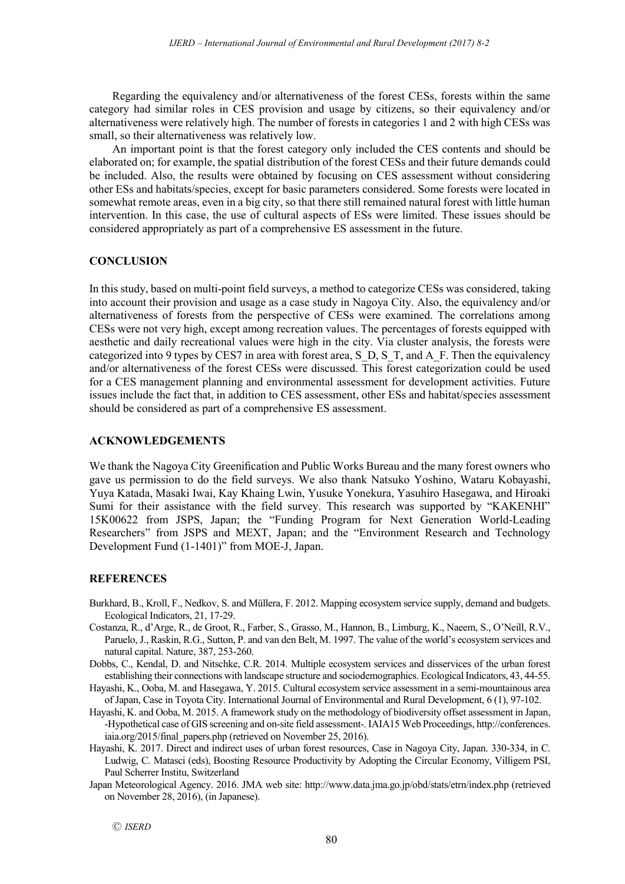Regarding the equivalency and/or alternativeness of the forest CESs, forests within the same category had similar roles in CES provision and usage by citizens, so their equivalency and/or alternativeness were relatively high. The number of forests in categories 1 and 2 with high CESs was small, so their alternativeness was relatively low.

An important point is that the forest category only included the CES contents and should be elaborated on; for example, the spatial distribution of the forest CESs and their future demands could be included. Also, the results were obtained by focusing on CES assessment without considering other ESs and habitats/species, except for basic parameters considered. Some forests were located in somewhat remote areas, even in a big city, so that there still remained natural forest with little human intervention. In this case, the use of cultural aspects of ESs were limited. These issues should be considered appropriately as part of a comprehensive ES assessment in the future.

#### **CONCLUSION**

In this study, based on multi-point field surveys, a method to categorize CESs was considered, taking into account their provision and usage as a case study in Nagoya City. Also, the equivalency and/or alternativeness of forests from the perspective of CESs were examined. The correlations among CESs were not very high, except among recreation values. The percentages of forests equipped with aesthetic and daily recreational values were high in the city. Via cluster analysis, the forests were categorized into 9 types by CES7 in area with forest area, S\_D, S\_T, and A\_F. Then the equivalency and/or alternativeness of the forest CESs were discussed. This forest categorization could be used for a CES management planning and environmental assessment for development activities. Future issues include the fact that, in addition to CES assessment, other ESs and habitat/species assessment should be considered as part of a comprehensive ES assessment.

#### **ACKNOWLEDGEMENTS**

We thank the Nagoya City Greenification and Public Works Bureau and the many forest owners who gave us permission to do the field surveys. We also thank Natsuko Yoshino, Wataru Kobayashi, Yuya Katada, Masaki Iwai, Kay Khaing Lwin, Yusuke Yonekura, Yasuhiro Hasegawa, and Hiroaki Sumi for their assistance with the field survey. This research was supported by "KAKENHI" 15K00622 from JSPS, Japan; the "Funding Program for Next Generation World-Leading Researchers" from JSPS and MEXT, Japan; and the "Environment Research and Technology Development Fund (1-1401)" from MOE-J, Japan.

#### **REFERENCES**

- Burkhard, B., Kroll, F., Nedkov, S. and Müllera, F. 2012. Mapping ecosystem service supply, demand and budgets. Ecological Indicators, 21, 17-29.
- Costanza, R., d'Arge, R., de Groot, R., Farber, S., Grasso, M., Hannon, B., Limburg, K., Naeem, S., O'Neill, R.V., Paruelo, J., Raskin, R.G., Sutton, P. and van den Belt, M. 1997. The value of the world's ecosystem services and natural capital. Nature, 387, 253-260.
- Dobbs, C., Kendal, D. and Nitschke, C.R. 2014. Multiple ecosystem services and disservices of the urban forest establishing their connections with landscape structure and sociodemographics. Ecological Indicators, 43, 44-55.
- Hayashi, K., Ooba, M. and Hasegawa, Y. 2015. Cultural ecosystem service assessment in a semi-mountainous area of Japan, Case in Toyota City. International Journal of Environmental and Rural Development, 6 (1), 97-102.
- Hayashi, K. and Ooba, M. 2015. A framework study on the methodology of biodiversity offset assessment in Japan, -Hypothetical case of GIS screening and on-site field assessment-. IAIA15 Web Proceedings, http://conferences. iaia.org/2015/final\_papers.php (retrieved on November 25, 2016).
- Hayashi, K. 2017. Direct and indirect uses of urban forest resources, Case in Nagoya City, Japan. 330-334, in C. Ludwig, C. Matasci (eds), Boosting Resource Productivity by Adopting the Circular Economy, Villigem PSI, Paul Scherrer Institu, Switzerland
- Japan Meteorological Agency. 2016. JMA web site: http://www.data.jma.go.jp/obd/stats/etrn/index.php (retrieved on November 28, 2016), (in Japanese).